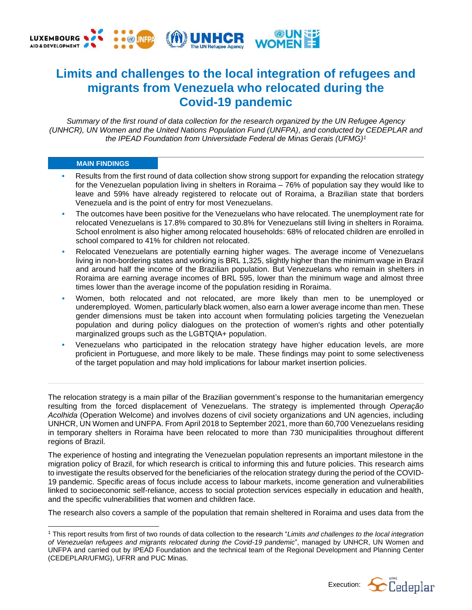

# **Limits and challenges to the local integration of refugees and migrants from Venezuela who relocated during the Covid-19 pandemic**

*Summary of the first round of data collection for the research organized by the UN Refugee Agency (UNHCR), UN Women and the United Nations Population Fund (UNFPA), and conducted by CEDEPLAR and the IPEAD Foundation from Universidade Federal de Minas Gerais (UFMG)<sup>1</sup>*

## **MAIN FINDINGS**

- **•** Results from the first round of data collection show strong support for expanding the relocation strategy for the Venezuelan population living in shelters in Roraima – 76% of population say they would like to leave and 59% have already registered to relocate out of Roraima, a Brazilian state that borders Venezuela and is the point of entry for most Venezuelans.
- **•** The outcomes have been positive for the Venezuelans who have relocated. The unemployment rate for relocated Venezuelans is 17.8% compared to 30.8% for Venezuelans still living in shelters in Roraima. School enrolment is also higher among relocated households: 68% of relocated children are enrolled in school compared to 41% for children not relocated.
- **•** Relocated Venezuelans are potentially earning higher wages. The average income of Venezuelans living in non-bordering states and working is BRL 1,325, slightly higher than the minimum wage in Brazil and around half the income of the Brazilian population. But Venezuelans who remain in shelters in Roraima are earning average incomes of BRL 595, lower than the minimum wage and almost three times lower than the average income of the population residing in Roraima.
- **•** Women, both relocated and not relocated, are more likely than men to be unemployed or underemployed. Women, particularly black women, also earn a lower average income than men. These gender dimensions must be taken into account when formulating policies targeting the Venezuelan population and during policy dialogues on the protection of women's rights and other potentially marginalized groups such as the LGBTQIA+ population.
- **•** Venezuelans who participated in the relocation strategy have higher education levels, are more proficient in Portuguese, and more likely to be male. These findings may point to some selectiveness of the target population and may hold implications for labour market insertion policies.

The relocation strategy is a main pillar of the Brazilian government's response to the humanitarian emergency resulting from the forced displacement of Venezuelans. The strategy is implemented through *Operação Acolhida* (Operation Welcome) and involves dozens of civil society organizations and UN agencies, including UNHCR, UN Women and UNFPA. From April 2018 to September 2021, more than 60,700 Venezuelans residing in temporary shelters in Roraima have been relocated to more than 730 municipalities throughout different regions of Brazil.

The experience of hosting and integrating the Venezuelan population represents an important milestone in the migration policy of Brazil, for which research is critical to informing this and future policies. This research aims to investigate the results observed for the beneficiaries of the relocation strategy during the period of the COVID-19 pandemic. Specific areas of focus include access to labour markets, income generation and vulnerabilities linked to socioeconomic self-reliance, access to social protection services especially in education and health, and the specific vulnerabilities that women and children face.

The research also covers a sample of the population that remain sheltered in Roraima and uses data from the

<sup>1</sup> This report results from first of two rounds of data collection to the research "*Limits and challenges to the local integration of Venezuelan refugees and migrants relocated during the Covid-19 pandemic*", managed by UNHCR, UN Women and UNFPA and carried out by IPEAD Foundation and the technical team of the Regional Development and Planning Center (CEDEPLAR/UFMG), UFRR and PUC Minas.

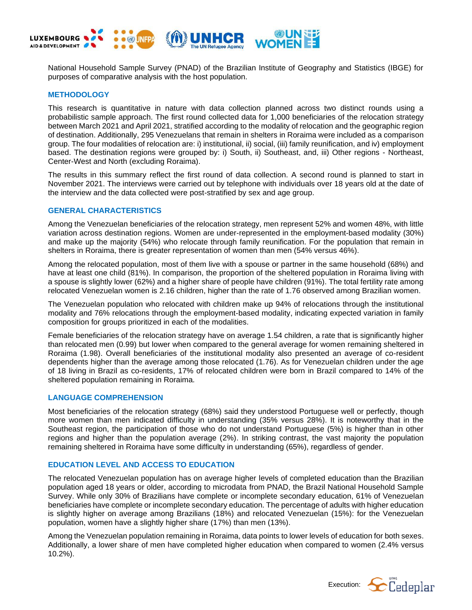

National Household Sample Survey (PNAD) of the Brazilian Institute of Geography and Statistics (IBGE) for purposes of comparative analysis with the host population.

# **METHODOLOGY**

This research is quantitative in nature with data collection planned across two distinct rounds using a probabilistic sample approach. The first round collected data for 1,000 beneficiaries of the relocation strategy between March 2021 and April 2021, stratified according to the modality of relocation and the geographic region of destination. Additionally, 295 Venezuelans that remain in shelters in Roraima were included as a comparison group. The four modalities of relocation are: i) institutional, ii) social, (iii) family reunification, and iv) employment based. The destination regions were grouped by: i) South, ii) Southeast, and, iii) Other regions - Northeast, Center-West and North (excluding Roraima).

The results in this summary reflect the first round of data collection. A second round is planned to start in November 2021. The interviews were carried out by telephone with individuals over 18 years old at the date of the interview and the data collected were post-stratified by sex and age group.

#### **GENERAL CHARACTERISTICS**

Among the Venezuelan beneficiaries of the relocation strategy, men represent 52% and women 48%, with little variation across destination regions. Women are under-represented in the employment-based modality (30%) and make up the majority (54%) who relocate through family reunification. For the population that remain in shelters in Roraima, there is greater representation of women than men (54% versus 46%).

Among the relocated population, most of them live with a spouse or partner in the same household (68%) and have at least one child (81%). In comparison, the proportion of the sheltered population in Roraima living with a spouse is slightly lower (62%) and a higher share of people have children (91%). The total fertility rate among relocated Venezuelan women is 2.16 children, higher than the rate of 1.76 observed among Brazilian women.

The Venezuelan population who relocated with children make up 94% of relocations through the institutional modality and 76% relocations through the employment-based modality, indicating expected variation in family composition for groups prioritized in each of the modalities.

Female beneficiaries of the relocation strategy have on average 1.54 children, a rate that is significantly higher than relocated men (0.99) but lower when compared to the general average for women remaining sheltered in Roraima (1.98). Overall beneficiaries of the institutional modality also presented an average of co-resident dependents higher than the average among those relocated (1.76). As for Venezuelan children under the age of 18 living in Brazil as co-residents, 17% of relocated children were born in Brazil compared to 14% of the sheltered population remaining in Roraima.

#### **LANGUAGE COMPREHENSION**

Most beneficiaries of the relocation strategy (68%) said they understood Portuguese well or perfectly, though more women than men indicated difficulty in understanding (35% versus 28%). It is noteworthy that in the Southeast region, the participation of those who do not understand Portuguese (5%) is higher than in other regions and higher than the population average (2%). In striking contrast, the vast majority the population remaining sheltered in Roraima have some difficulty in understanding (65%), regardless of gender.

#### **EDUCATION LEVEL AND ACCESS TO EDUCATION**

The relocated Venezuelan population has on average higher levels of completed education than the Brazilian population aged 18 years or older, according to microdata from PNAD, the Brazil National Household Sample Survey. While only 30% of Brazilians have complete or incomplete secondary education, 61% of Venezuelan beneficiaries have complete or incomplete secondary education. The percentage of adults with higher education is slightly higher on average among Brazilians (18%) and relocated Venezuelan (15%): for the Venezuelan population, women have a slightly higher share (17%) than men (13%).

Among the Venezuelan population remaining in Roraima, data points to lower levels of education for both sexes. Additionally, a lower share of men have completed higher education when compared to women (2.4% versus 10.2%).

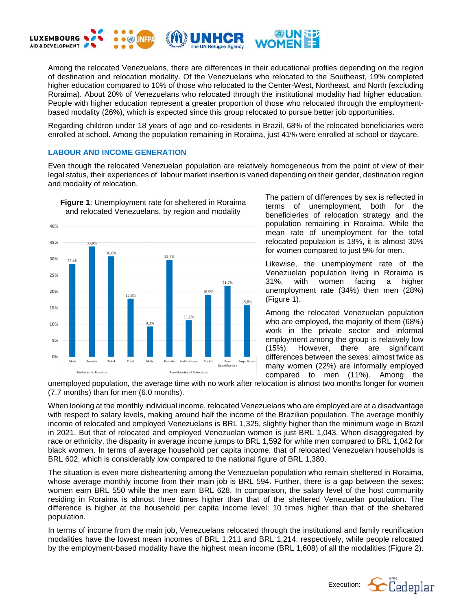

Among the relocated Venezuelans, there are differences in their educational profiles depending on the region of destination and relocation modality. Of the Venezuelans who relocated to the Southeast, 19% completed higher education compared to 10% of those who relocated to the Center-West, Northeast, and North (excluding Roraima). About 20% of Venezuelans who relocated through the institutional modality had higher education. People with higher education represent a greater proportion of those who relocated through the employmentbased modality (26%), which is expected since this group relocated to pursue better job opportunities.

Regarding children under 18 years of age and co-residents in Brazil, 68% of the relocated beneficiaries were enrolled at school. Among the population remaining in Roraima, just 41% were enrolled at school or daycare.

## **LABOUR AND INCOME GENERATION**

Even though the relocated Venezuelan population are relatively homogeneous from the point of view of their legal status, their experiences of labour market insertion is varied depending on their gender, destination region and modality of relocation.



The pattern of differences by sex is reflected in terms of unemployment, both for the beneficieries of relocation strategy and the population remaining in Roraima. While the mean rate of unemployment for the total relocated population is 18%, it is almost 30% for women compared to just 9% for men.

Likewise, the unemployment rate of the Venezuelan population living in Roraima is 31%, with women facing a higher unemployment rate (34%) then men (28%) (Figure 1).

Among the relocated Venezuelan population who are employed, the majority of them (68%) work in the private sector and informal employment among the group is relatively low (15%). However, there are significant differences between the sexes: almost twice as many women (22%) are informally employed compared to men (11%). Among the

unemployed population, the average time with no work after relocation is almost two months longer for women (7.7 months) than for men (6.0 months).

When looking at the monthly individual income, relocated Venezuelans who are employed are at a disadvantage with respect to salary levels, making around half the income of the Brazilian population. The average monthly income of relocated and employed Venezuelans is BRL 1,325, slightly higher than the minimum wage in Brazil in 2021. But that of relocated and employed Venezuelan women is just BRL 1,043. When disaggregated by race or ethnicity, the disparity in average income jumps to BRL 1,592 for white men compared to BRL 1,042 for black women. In terms of average household per capita income, that of relocated Venezuelan households is BRL 602, which is considerably low compared to the national figure of BRL 1,380.

The situation is even more disheartening among the Venezuelan population who remain sheltered in Roraima, whose average monthly income from their main job is BRL 594. Further, there is a gap between the sexes: women earn BRL 550 while the men earn BRL 628. In comparison, the salary level of the host community residing in Roraima is almost three times higher than that of the sheltered Venezuelan population. The difference is higher at the household per capita income level: 10 times higher than that of the sheltered population.

In terms of income from the main job, Venezuelans relocated through the institutional and family reunification modalities have the lowest mean incomes of BRL 1,211 and BRL 1,214, respectively, while people relocated by the employment-based modality have the highest mean income (BRL 1,608) of all the modalities (Figure 2).

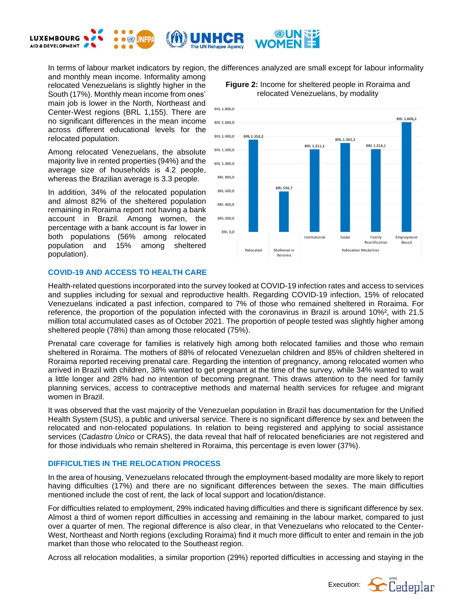

In terms of labour market indicators by region, the differences analyzed are small except for labour informality

and monthly mean income. Informality among relocated Venezuelans is slightly higher in the South (17%). Monthly mean income from ones' main job is lower in the North, Northeast and Center-West regions (BRL 1,155). There are no significant differences in the mean income across different educational levels for the relocated population.

Among relocated Venezuelans, the absolute majority live in rented properties (94%) and the average size of households is 4.2 people, whereas the Brazilian average is 3.3 people.

In addition, 34% of the relocated population and almost 82% of the sheltered population remaining in Roraima report not having a bank account in Brazil. Among women, the percentage with a bank account is far lower in both populations (56% among relocated population and 15% among sheltered population).

## **COVID-19 AND ACCESS TO HEALTH CARE**







Health-related questions incorporated into the survey looked at COVID-19 infection rates and access to services and supplies including for sexual and reproductive health. Regarding COVID-19 infection, 15% of relocated Venezuelans indicated a past infection, compared to 7% of those who remained sheltered in Roraima. For reference, the proportion of the population infected with the coronavirus in Brazil is around 10%², with 21.5 million total accumulated cases as of October 2021. The proportion of people tested was slightly higher among sheltered people (78%) than among those relocated (75%).

Prenatal care coverage for families is relatively high among both relocated families and those who remain sheltered in Roraima. The mothers of 88% of relocated Venezuelan children and 85% of children sheltered in Roraima reported receiving prenatal care. Regarding the intention of pregnancy, among relocated women who arrived in Brazil with children, 38% wanted to get pregnant at the time of the survey, while 34% wanted to wait a little longer and 28% had no intention of becoming pregnant. This draws attention to the need for family planning services, access to contraceptive methods and maternal health services for refugee and migrant women in Brazil.

It was observed that the vast majority of the Venezuelan population in Brazil has documentation for the Unified Health System (SUS), a public and universal service. There is no significant difference by sex and between the relocated and non-relocated populations. In relation to being registered and applying to social assistance services (*Cadastro Único* or CRAS), the data reveal that half of relocated beneficiaries are not registered and for those individuals who remain sheltered in Roraima, this percentage is even lower (37%).

# **DIFFICULTIES IN THE RELOCATION PROCESS**

In the area of housing, Venezuelans relocated through the employment-based modality are more likely to report having difficulties (17%) and there are no significant differences between the sexes. The main difficulties mentioned include the cost of rent, the lack of local support and location/distance.

For difficulties related to employment, 29% indicated having difficulties and there is significant difference by sex. Almost a third of women report difficulties in accessing and remaining in the labour market, compared to just over a quarter of men. The regional difference is also clear, in that Venezuelans who relocated to the Center-West, Northeast and North regions (excluding Roraima) find it much more difficult to enter and remain in the job market than those who relocated to the Southeast region.

Across all relocation modalities, a similar proportion (29%) reported difficulties in accessing and staying in the